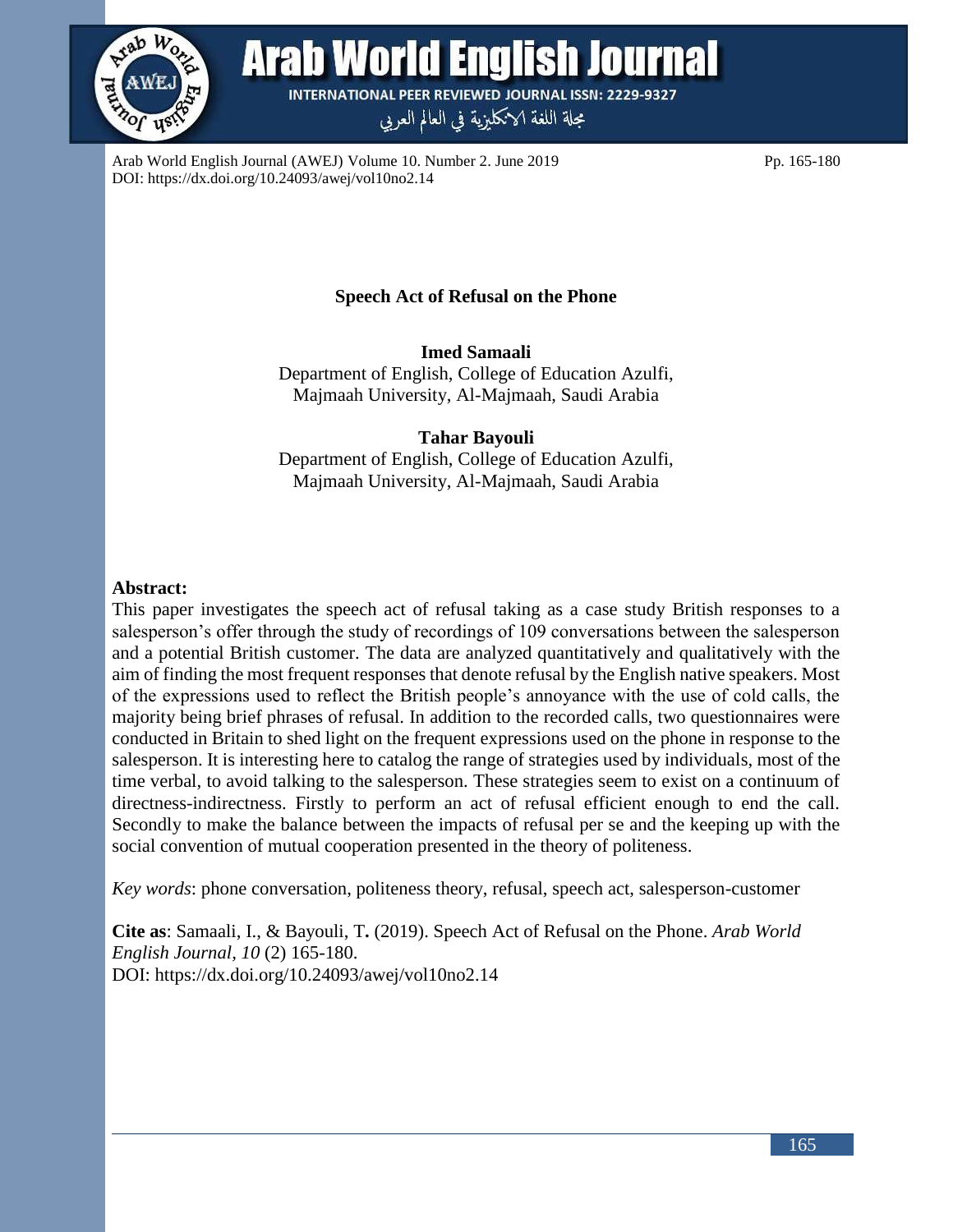

Arab World English Journal

**INTERNATIONAL PEER REVIEWED JOURNAL ISSN: 2229-9327** 

مجلة اللغة الانكليزية في العالم العربي

Arab World English Journal (AWEJ) Volume 10. Number 2. June 2019 Pp. 165-180 DOI: https://dx.doi.org/10.24093/awej/vol10no2.14

### **Speech Act of Refusal on the Phone**

**Imed Samaali** Department of English, College of Education Azulfi, Majmaah University, Al-Majmaah, Saudi Arabia

**Tahar Bayouli** Department of English, College of Education Azulfi, Majmaah University, Al-Majmaah, Saudi Arabia

### **Abstract:**

This paper investigates the speech act of refusal taking as a case study British responses to a salesperson's offer through the study of recordings of 109 conversations between the salesperson and a potential British customer. The data are analyzed quantitatively and qualitatively with the aim of finding the most frequent responses that denote refusal by the English native speakers. Most of the expressions used to reflect the British people's annoyance with the use of cold calls, the majority being brief phrases of refusal. In addition to the recorded calls, two questionnaires were conducted in Britain to shed light on the frequent expressions used on the phone in response to the salesperson. It is interesting here to catalog the range of strategies used by individuals, most of the time verbal, to avoid talking to the salesperson. These strategies seem to exist on a continuum of directness-indirectness. Firstly to perform an act of refusal efficient enough to end the call. Secondly to make the balance between the impacts of refusal per se and the keeping up with the social convention of mutual cooperation presented in the theory of politeness.

*Key words*: phone conversation, politeness theory, refusal, speech act, salesperson-customer

**Cite as**: Samaali, I., & Bayouli, T**.** (2019). Speech Act of Refusal on the Phone. *Arab World English Journal, 10* (2) 165-180. DOI: https://dx.doi.org/10.24093/awej/vol10no2.14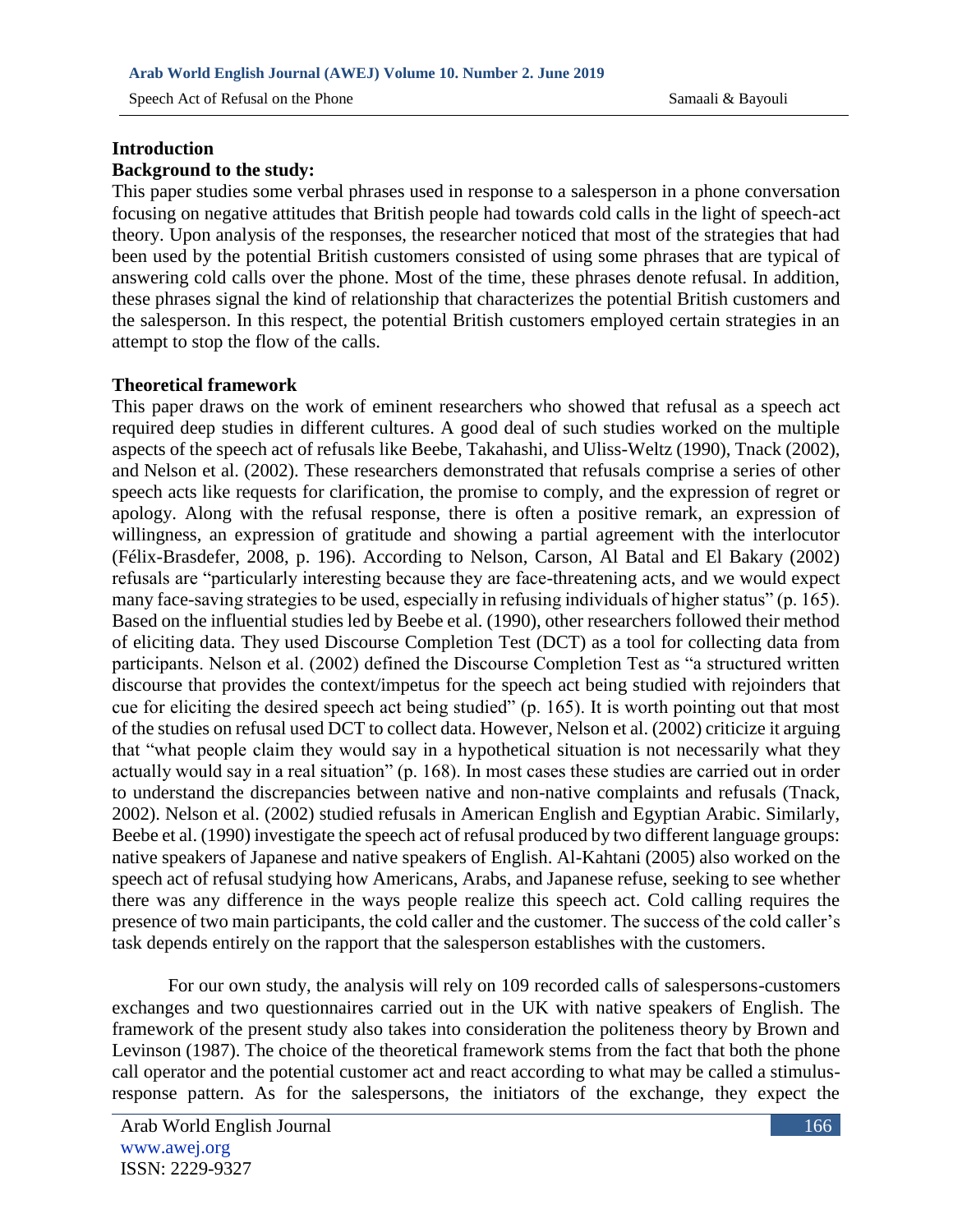Speech Act of Refusal on the Phone Samaali & Bayouli

# **Introduction**

### **Background to the study:**

This paper studies some verbal phrases used in response to a salesperson in a phone conversation focusing on negative attitudes that British people had towards cold calls in the light of speech-act theory. Upon analysis of the responses, the researcher noticed that most of the strategies that had been used by the potential British customers consisted of using some phrases that are typical of answering cold calls over the phone. Most of the time, these phrases denote refusal. In addition, these phrases signal the kind of relationship that characterizes the potential British customers and the salesperson. In this respect, the potential British customers employed certain strategies in an attempt to stop the flow of the calls.

### **Theoretical framework**

This paper draws on the work of eminent researchers who showed that refusal as a speech act required deep studies in different cultures. A good deal of such studies worked on the multiple aspects of the speech act of refusals like Beebe, Takahashi, and Uliss-Weltz (1990), Tnack (2002), and Nelson et al. (2002). These researchers demonstrated that refusals comprise a series of other speech acts like requests for clarification, the promise to comply, and the expression of regret or apology. Along with the refusal response, there is often a positive remark, an expression of willingness, an expression of gratitude and showing a partial agreement with the interlocutor (Félix-Brasdefer, 2008, p. 196). According to Nelson, Carson, Al Batal and El Bakary (2002) refusals are "particularly interesting because they are face-threatening acts, and we would expect many face-saving strategies to be used, especially in refusing individuals of higher status" (p. 165). Based on the influential studies led by Beebe et al. (1990), other researchers followed their method of eliciting data. They used Discourse Completion Test (DCT) as a tool for collecting data from participants. Nelson et al. (2002) defined the Discourse Completion Test as "a structured written discourse that provides the context/impetus for the speech act being studied with rejoinders that cue for eliciting the desired speech act being studied" (p. 165). It is worth pointing out that most of the studies on refusal used DCT to collect data. However, Nelson et al. (2002) criticize it arguing that "what people claim they would say in a hypothetical situation is not necessarily what they actually would say in a real situation" (p. 168). In most cases these studies are carried out in order to understand the discrepancies between native and non-native complaints and refusals (Tnack, 2002). Nelson et al. (2002) studied refusals in American English and Egyptian Arabic. Similarly, Beebe et al. (1990) investigate the speech act of refusal produced by two different language groups: native speakers of Japanese and native speakers of English. Al-Kahtani (2005) also worked on the speech act of refusal studying how Americans, Arabs, and Japanese refuse, seeking to see whether there was any difference in the ways people realize this speech act. Cold calling requires the presence of two main participants, the cold caller and the customer. The success of the cold caller's task depends entirely on the rapport that the salesperson establishes with the customers.

 For our own study, the analysis will rely on 109 recorded calls of salespersons-customers exchanges and two questionnaires carried out in the UK with native speakers of English. The framework of the present study also takes into consideration the politeness theory by Brown and Levinson (1987). The choice of the theoretical framework stems from the fact that both the phone call operator and the potential customer act and react according to what may be called a stimulusresponse pattern. As for the salespersons, the initiators of the exchange, they expect the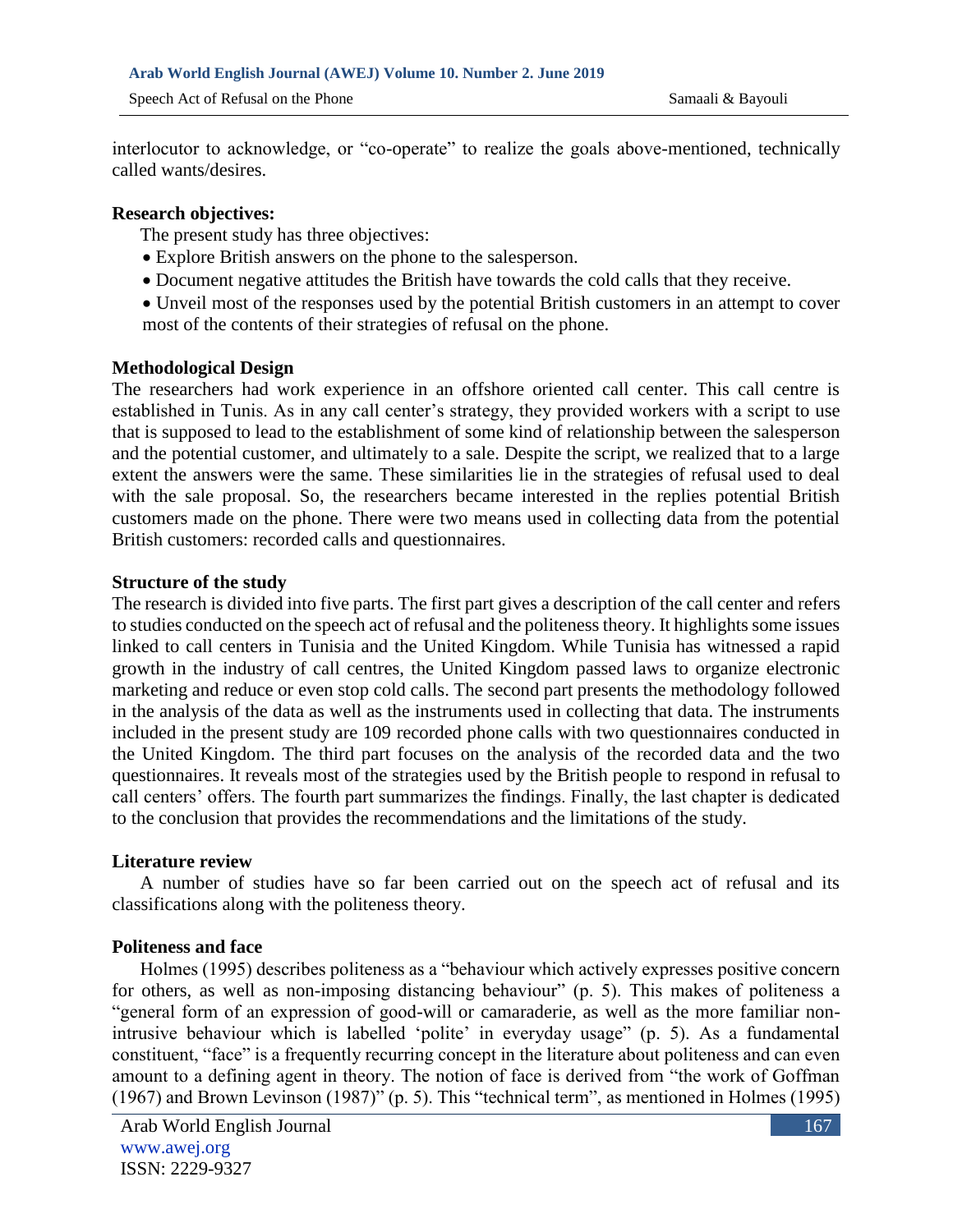interlocutor to acknowledge, or "co-operate" to realize the goals above-mentioned, technically called wants/desires.

#### **Research objectives:**

The present study has three objectives:

- Explore British answers on the phone to the salesperson.
- Document negative attitudes the British have towards the cold calls that they receive.
- Unveil most of the responses used by the potential British customers in an attempt to cover most of the contents of their strategies of refusal on the phone.

### **Methodological Design**

The researchers had work experience in an offshore oriented call center. This call centre is established in Tunis. As in any call center's strategy, they provided workers with a script to use that is supposed to lead to the establishment of some kind of relationship between the salesperson and the potential customer, and ultimately to a sale. Despite the script, we realized that to a large extent the answers were the same. These similarities lie in the strategies of refusal used to deal with the sale proposal. So, the researchers became interested in the replies potential British customers made on the phone. There were two means used in collecting data from the potential British customers: recorded calls and questionnaires.

### **Structure of the study**

The research is divided into five parts. The first part gives a description of the call center and refers to studies conducted on the speech act of refusal and the politeness theory. It highlights some issues linked to call centers in Tunisia and the United Kingdom. While Tunisia has witnessed a rapid growth in the industry of call centres, the United Kingdom passed laws to organize electronic marketing and reduce or even stop cold calls. The second part presents the methodology followed in the analysis of the data as well as the instruments used in collecting that data. The instruments included in the present study are 109 recorded phone calls with two questionnaires conducted in the United Kingdom. The third part focuses on the analysis of the recorded data and the two questionnaires. It reveals most of the strategies used by the British people to respond in refusal to call centers' offers. The fourth part summarizes the findings. Finally, the last chapter is dedicated to the conclusion that provides the recommendations and the limitations of the study.

#### **Literature review**

A number of studies have so far been carried out on the speech act of refusal and its classifications along with the politeness theory.

### **Politeness and face**

 Holmes (1995) describes politeness as a "behaviour which actively expresses positive concern for others, as well as non-imposing distancing behaviour" (p. 5). This makes of politeness a "general form of an expression of good-will or camaraderie, as well as the more familiar nonintrusive behaviour which is labelled 'polite' in everyday usage" (p. 5). As a fundamental constituent, "face" is a frequently recurring concept in the literature about politeness and can even amount to a defining agent in theory. The notion of face is derived from "the work of Goffman (1967) and Brown Levinson (1987)" (p. 5). This "technical term", as mentioned in Holmes (1995)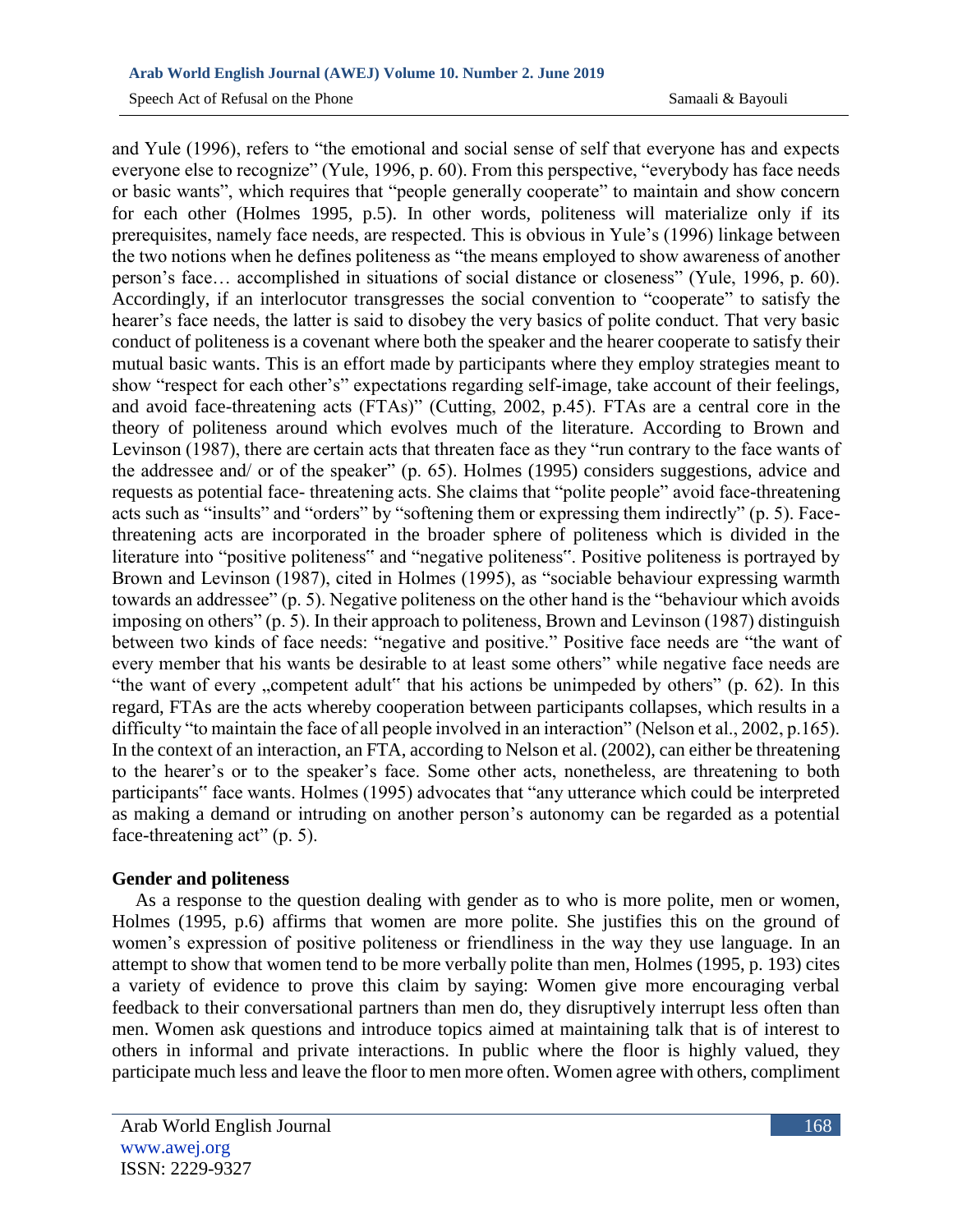and Yule (1996), refers to "the emotional and social sense of self that everyone has and expects everyone else to recognize" (Yule, 1996, p. 60). From this perspective, "everybody has face needs or basic wants", which requires that "people generally cooperate" to maintain and show concern for each other (Holmes 1995, p.5). In other words, politeness will materialize only if its prerequisites, namely face needs, are respected. This is obvious in Yule's (1996) linkage between the two notions when he defines politeness as "the means employed to show awareness of another person's face… accomplished in situations of social distance or closeness" (Yule, 1996, p. 60). Accordingly, if an interlocutor transgresses the social convention to "cooperate" to satisfy the hearer's face needs, the latter is said to disobey the very basics of polite conduct. That very basic conduct of politeness is a covenant where both the speaker and the hearer cooperate to satisfy their mutual basic wants. This is an effort made by participants where they employ strategies meant to show "respect for each other's" expectations regarding self-image, take account of their feelings, and avoid face-threatening acts (FTAs)" (Cutting, 2002, p.45). FTAs are a central core in the theory of politeness around which evolves much of the literature. According to Brown and Levinson (1987), there are certain acts that threaten face as they "run contrary to the face wants of the addressee and/ or of the speaker" (p. 65). Holmes (1995) considers suggestions, advice and requests as potential face- threatening acts. She claims that "polite people" avoid face-threatening acts such as "insults" and "orders" by "softening them or expressing them indirectly" (p. 5). Facethreatening acts are incorporated in the broader sphere of politeness which is divided in the literature into "positive politeness" and "negative politeness". Positive politeness is portrayed by Brown and Levinson (1987), cited in Holmes (1995), as "sociable behaviour expressing warmth towards an addressee" (p. 5). Negative politeness on the other hand is the "behaviour which avoids imposing on others" (p. 5). In their approach to politeness, Brown and Levinson (1987) distinguish between two kinds of face needs: "negative and positive." Positive face needs are "the want of every member that his wants be desirable to at least some others" while negative face needs are "the want of every , competent adult" that his actions be unimpeded by others" (p. 62). In this regard, FTAs are the acts whereby cooperation between participants collapses, which results in a difficulty "to maintain the face of all people involved in an interaction" (Nelson et al., 2002, p.165). In the context of an interaction, an FTA, according to Nelson et al. (2002), can either be threatening to the hearer's or to the speaker's face. Some other acts, nonetheless, are threatening to both participants" face wants. Holmes (1995) advocates that "any utterance which could be interpreted as making a demand or intruding on another person's autonomy can be regarded as a potential face-threatening act" (p. 5).

### **Gender and politeness**

 As a response to the question dealing with gender as to who is more polite, men or women, Holmes (1995, p.6) affirms that women are more polite. She justifies this on the ground of women's expression of positive politeness or friendliness in the way they use language. In an attempt to show that women tend to be more verbally polite than men, Holmes (1995, p. 193) cites a variety of evidence to prove this claim by saying: Women give more encouraging verbal feedback to their conversational partners than men do, they disruptively interrupt less often than men. Women ask questions and introduce topics aimed at maintaining talk that is of interest to others in informal and private interactions. In public where the floor is highly valued, they participate much less and leave the floor to men more often. Women agree with others, compliment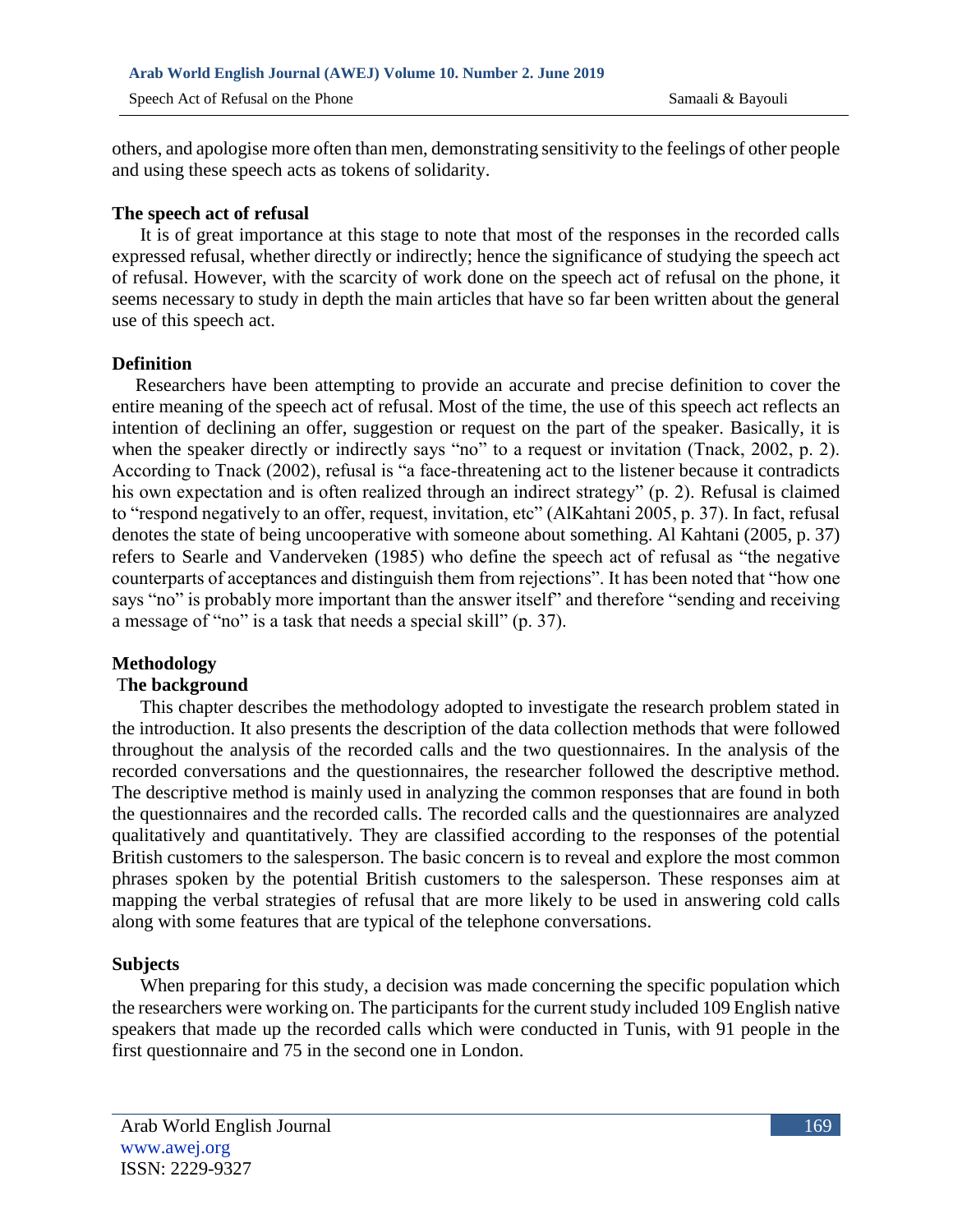others, and apologise more often than men, demonstrating sensitivity to the feelings of other people and using these speech acts as tokens of solidarity.

### **The speech act of refusal**

 It is of great importance at this stage to note that most of the responses in the recorded calls expressed refusal, whether directly or indirectly; hence the significance of studying the speech act of refusal. However, with the scarcity of work done on the speech act of refusal on the phone, it seems necessary to study in depth the main articles that have so far been written about the general use of this speech act.

### **Definition**

 Researchers have been attempting to provide an accurate and precise definition to cover the entire meaning of the speech act of refusal. Most of the time, the use of this speech act reflects an intention of declining an offer, suggestion or request on the part of the speaker. Basically, it is when the speaker directly or indirectly says "no" to a request or invitation (Tnack, 2002, p. 2). According to Tnack (2002), refusal is "a face-threatening act to the listener because it contradicts his own expectation and is often realized through an indirect strategy" (p. 2). Refusal is claimed to "respond negatively to an offer, request, invitation, etc" (AlKahtani 2005, p. 37). In fact, refusal denotes the state of being uncooperative with someone about something. Al Kahtani (2005, p. 37) refers to Searle and Vanderveken (1985) who define the speech act of refusal as "the negative counterparts of acceptances and distinguish them from rejections". It has been noted that "how one says "no" is probably more important than the answer itself" and therefore "sending and receiving a message of "no" is a task that needs a special skill" (p. 37).

### **Methodology**

### T**he background**

 This chapter describes the methodology adopted to investigate the research problem stated in the introduction. It also presents the description of the data collection methods that were followed throughout the analysis of the recorded calls and the two questionnaires. In the analysis of the recorded conversations and the questionnaires, the researcher followed the descriptive method. The descriptive method is mainly used in analyzing the common responses that are found in both the questionnaires and the recorded calls. The recorded calls and the questionnaires are analyzed qualitatively and quantitatively. They are classified according to the responses of the potential British customers to the salesperson. The basic concern is to reveal and explore the most common phrases spoken by the potential British customers to the salesperson. These responses aim at mapping the verbal strategies of refusal that are more likely to be used in answering cold calls along with some features that are typical of the telephone conversations.

### **Subjects**

When preparing for this study, a decision was made concerning the specific population which the researchers were working on. The participants for the current study included 109 English native speakers that made up the recorded calls which were conducted in Tunis, with 91 people in the first questionnaire and 75 in the second one in London.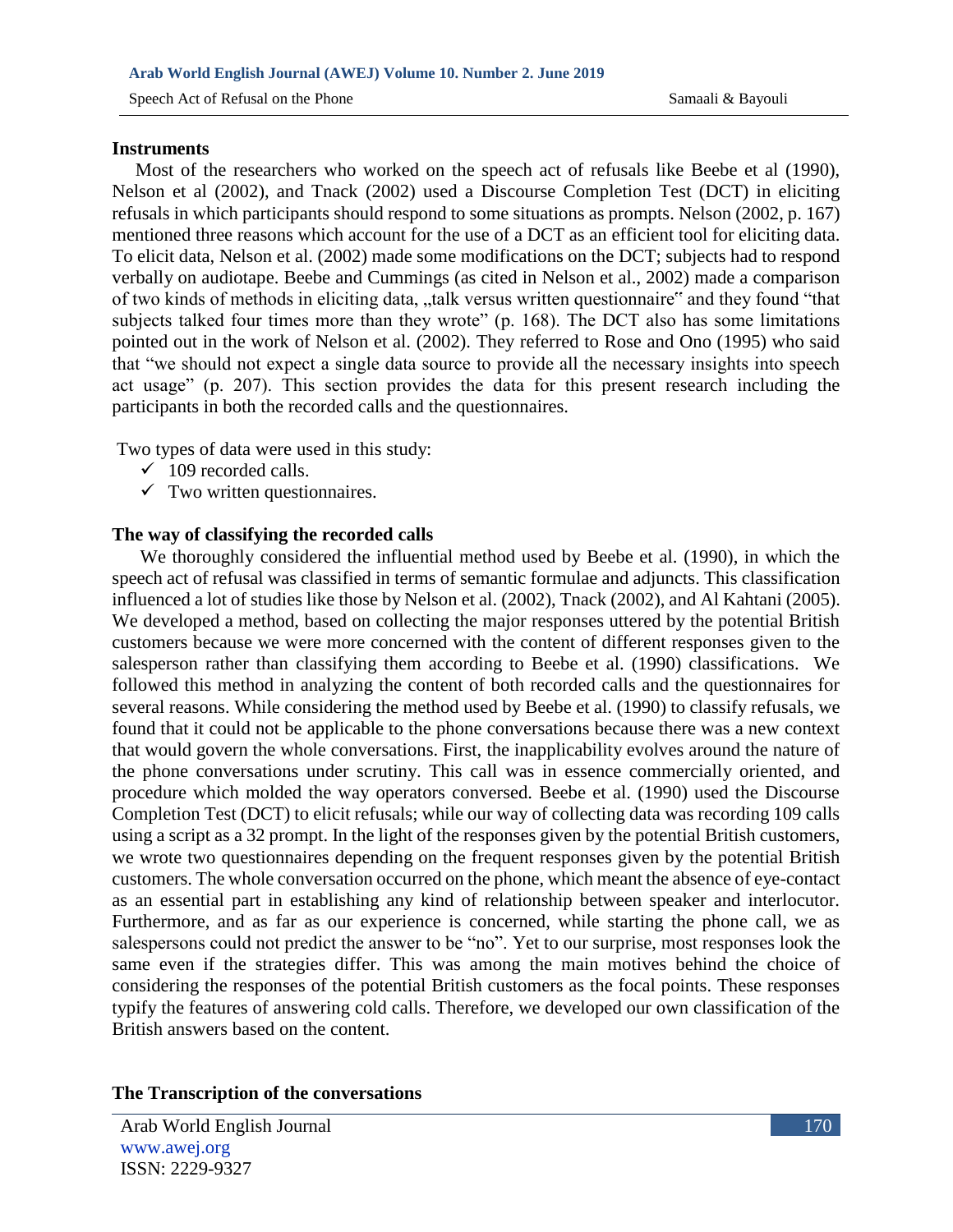#### **Instruments**

 Most of the researchers who worked on the speech act of refusals like Beebe et al (1990), Nelson et al (2002), and Tnack (2002) used a Discourse Completion Test (DCT) in eliciting refusals in which participants should respond to some situations as prompts. Nelson (2002, p. 167) mentioned three reasons which account for the use of a DCT as an efficient tool for eliciting data. To elicit data, Nelson et al. (2002) made some modifications on the DCT; subjects had to respond verbally on audiotape. Beebe and Cummings (as cited in Nelson et al., 2002) made a comparison of two kinds of methods in eliciting data, "talk versus written questionnaire" and they found "that subjects talked four times more than they wrote" (p. 168). The DCT also has some limitations pointed out in the work of Nelson et al. (2002). They referred to Rose and Ono (1995) who said that "we should not expect a single data source to provide all the necessary insights into speech act usage" (p. 207). This section provides the data for this present research including the participants in both the recorded calls and the questionnaires.

Two types of data were used in this study:

- $\checkmark$  109 recorded calls.
- $\checkmark$  Two written questionnaires.

#### **The way of classifying the recorded calls**

 We thoroughly considered the influential method used by Beebe et al. (1990), in which the speech act of refusal was classified in terms of semantic formulae and adjuncts. This classification influenced a lot of studies like those by Nelson et al. (2002), Tnack (2002), and Al Kahtani (2005). We developed a method, based on collecting the major responses uttered by the potential British customers because we were more concerned with the content of different responses given to the salesperson rather than classifying them according to Beebe et al. (1990) classifications. We followed this method in analyzing the content of both recorded calls and the questionnaires for several reasons. While considering the method used by Beebe et al. (1990) to classify refusals, we found that it could not be applicable to the phone conversations because there was a new context that would govern the whole conversations. First, the inapplicability evolves around the nature of the phone conversations under scrutiny. This call was in essence commercially oriented, and procedure which molded the way operators conversed. Beebe et al. (1990) used the Discourse Completion Test (DCT) to elicit refusals; while our way of collecting data was recording 109 calls using a script as a 32 prompt. In the light of the responses given by the potential British customers, we wrote two questionnaires depending on the frequent responses given by the potential British customers. The whole conversation occurred on the phone, which meant the absence of eye-contact as an essential part in establishing any kind of relationship between speaker and interlocutor. Furthermore, and as far as our experience is concerned, while starting the phone call, we as salespersons could not predict the answer to be "no". Yet to our surprise, most responses look the same even if the strategies differ. This was among the main motives behind the choice of considering the responses of the potential British customers as the focal points. These responses typify the features of answering cold calls. Therefore, we developed our own classification of the British answers based on the content.

#### **The Transcription of the conversations**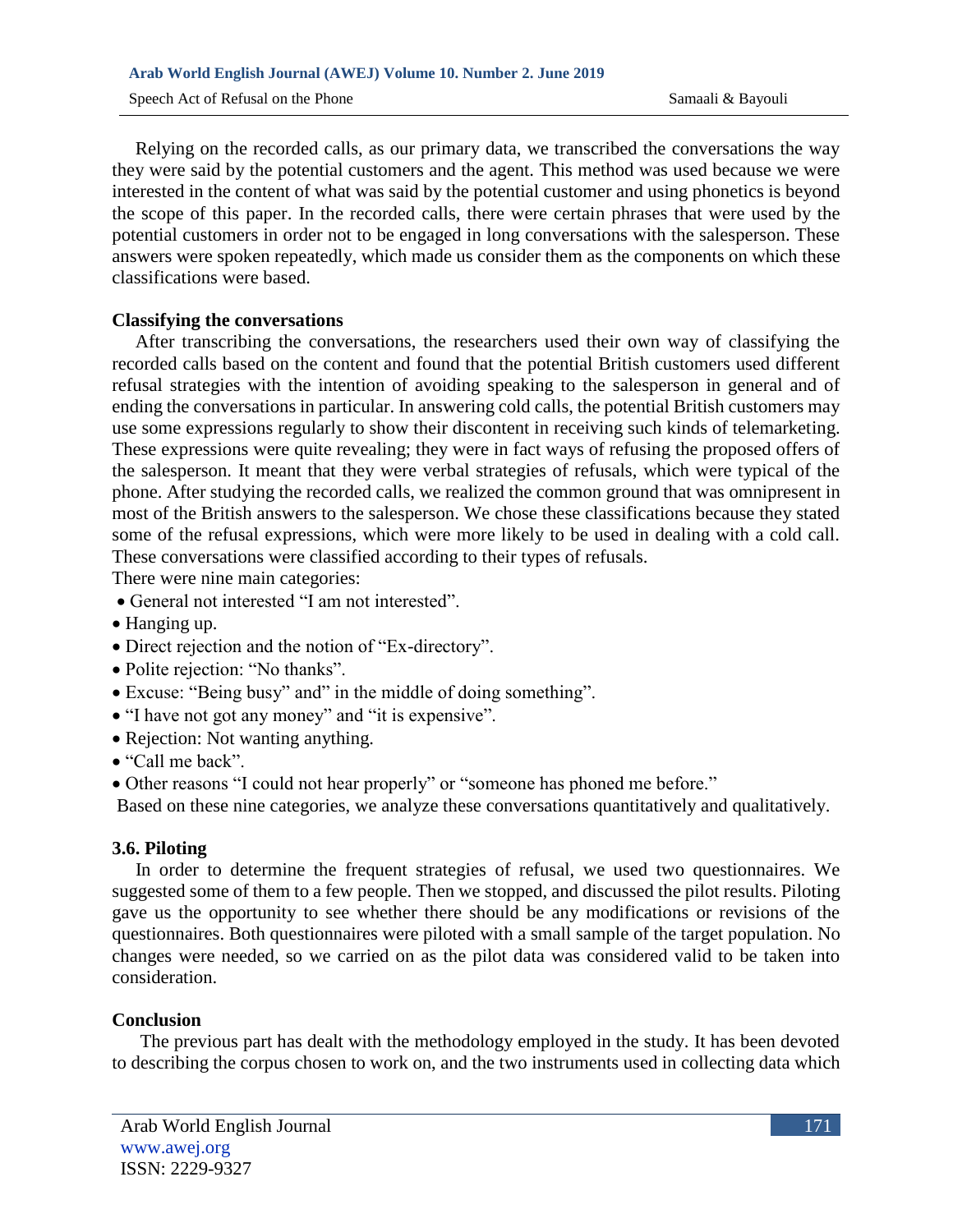Relying on the recorded calls, as our primary data, we transcribed the conversations the way they were said by the potential customers and the agent. This method was used because we were interested in the content of what was said by the potential customer and using phonetics is beyond the scope of this paper. In the recorded calls, there were certain phrases that were used by the potential customers in order not to be engaged in long conversations with the salesperson. These answers were spoken repeatedly, which made us consider them as the components on which these classifications were based.

### **Classifying the conversations**

 After transcribing the conversations, the researchers used their own way of classifying the recorded calls based on the content and found that the potential British customers used different refusal strategies with the intention of avoiding speaking to the salesperson in general and of ending the conversations in particular. In answering cold calls, the potential British customers may use some expressions regularly to show their discontent in receiving such kinds of telemarketing. These expressions were quite revealing; they were in fact ways of refusing the proposed offers of the salesperson. It meant that they were verbal strategies of refusals, which were typical of the phone. After studying the recorded calls, we realized the common ground that was omnipresent in most of the British answers to the salesperson. We chose these classifications because they stated some of the refusal expressions, which were more likely to be used in dealing with a cold call. These conversations were classified according to their types of refusals.

There were nine main categories:

- General not interested "I am not interested".
- Hanging up.
- Direct rejection and the notion of "Ex-directory".
- Polite rejection: "No thanks".
- Excuse: "Being busy" and" in the middle of doing something".
- "I have not got any money" and "it is expensive".
- Rejection: Not wanting anything.
- "Call me back".
- Other reasons "I could not hear properly" or "someone has phoned me before."

Based on these nine categories, we analyze these conversations quantitatively and qualitatively.

#### **3.6. Piloting**

In order to determine the frequent strategies of refusal, we used two questionnaires. We suggested some of them to a few people. Then we stopped, and discussed the pilot results. Piloting gave us the opportunity to see whether there should be any modifications or revisions of the questionnaires. Both questionnaires were piloted with a small sample of the target population. No changes were needed, so we carried on as the pilot data was considered valid to be taken into consideration.

### **Conclusion**

The previous part has dealt with the methodology employed in the study. It has been devoted to describing the corpus chosen to work on, and the two instruments used in collecting data which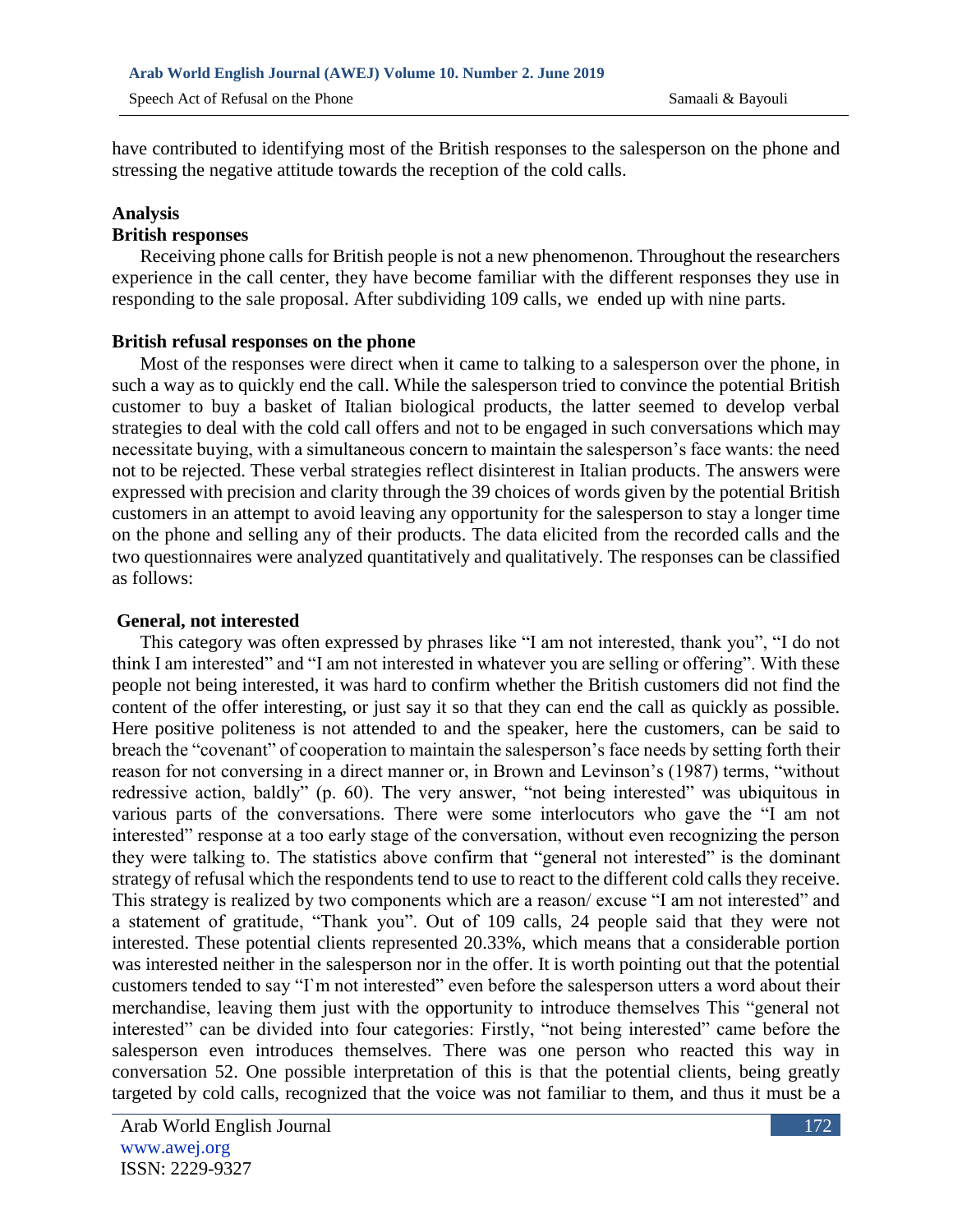have contributed to identifying most of the British responses to the salesperson on the phone and stressing the negative attitude towards the reception of the cold calls.

### **Analysis**

### **British responses**

Receiving phone calls for British people is not a new phenomenon. Throughout the researchers experience in the call center, they have become familiar with the different responses they use in responding to the sale proposal. After subdividing 109 calls, we ended up with nine parts.

### **British refusal responses on the phone**

Most of the responses were direct when it came to talking to a salesperson over the phone, in such a way as to quickly end the call. While the salesperson tried to convince the potential British customer to buy a basket of Italian biological products, the latter seemed to develop verbal strategies to deal with the cold call offers and not to be engaged in such conversations which may necessitate buying, with a simultaneous concern to maintain the salesperson's face wants: the need not to be rejected. These verbal strategies reflect disinterest in Italian products. The answers were expressed with precision and clarity through the 39 choices of words given by the potential British customers in an attempt to avoid leaving any opportunity for the salesperson to stay a longer time on the phone and selling any of their products. The data elicited from the recorded calls and the two questionnaires were analyzed quantitatively and qualitatively. The responses can be classified as follows:

#### **General, not interested**

 This category was often expressed by phrases like "I am not interested, thank you", "I do not think I am interested" and "I am not interested in whatever you are selling or offering". With these people not being interested, it was hard to confirm whether the British customers did not find the content of the offer interesting, or just say it so that they can end the call as quickly as possible. Here positive politeness is not attended to and the speaker, here the customers, can be said to breach the "covenant" of cooperation to maintain the salesperson's face needs by setting forth their reason for not conversing in a direct manner or, in Brown and Levinson's (1987) terms, "without redressive action, baldly" (p. 60). The very answer, "not being interested" was ubiquitous in various parts of the conversations. There were some interlocutors who gave the "I am not interested" response at a too early stage of the conversation, without even recognizing the person they were talking to. The statistics above confirm that "general not interested" is the dominant strategy of refusal which the respondents tend to use to react to the different cold calls they receive. This strategy is realized by two components which are a reason/ excuse "I am not interested" and a statement of gratitude, "Thank you". Out of 109 calls, 24 people said that they were not interested. These potential clients represented 20.33%, which means that a considerable portion was interested neither in the salesperson nor in the offer. It is worth pointing out that the potential customers tended to say "I`m not interested" even before the salesperson utters a word about their merchandise, leaving them just with the opportunity to introduce themselves This "general not interested" can be divided into four categories: Firstly, "not being interested" came before the salesperson even introduces themselves. There was one person who reacted this way in conversation 52. One possible interpretation of this is that the potential clients, being greatly targeted by cold calls, recognized that the voice was not familiar to them, and thus it must be a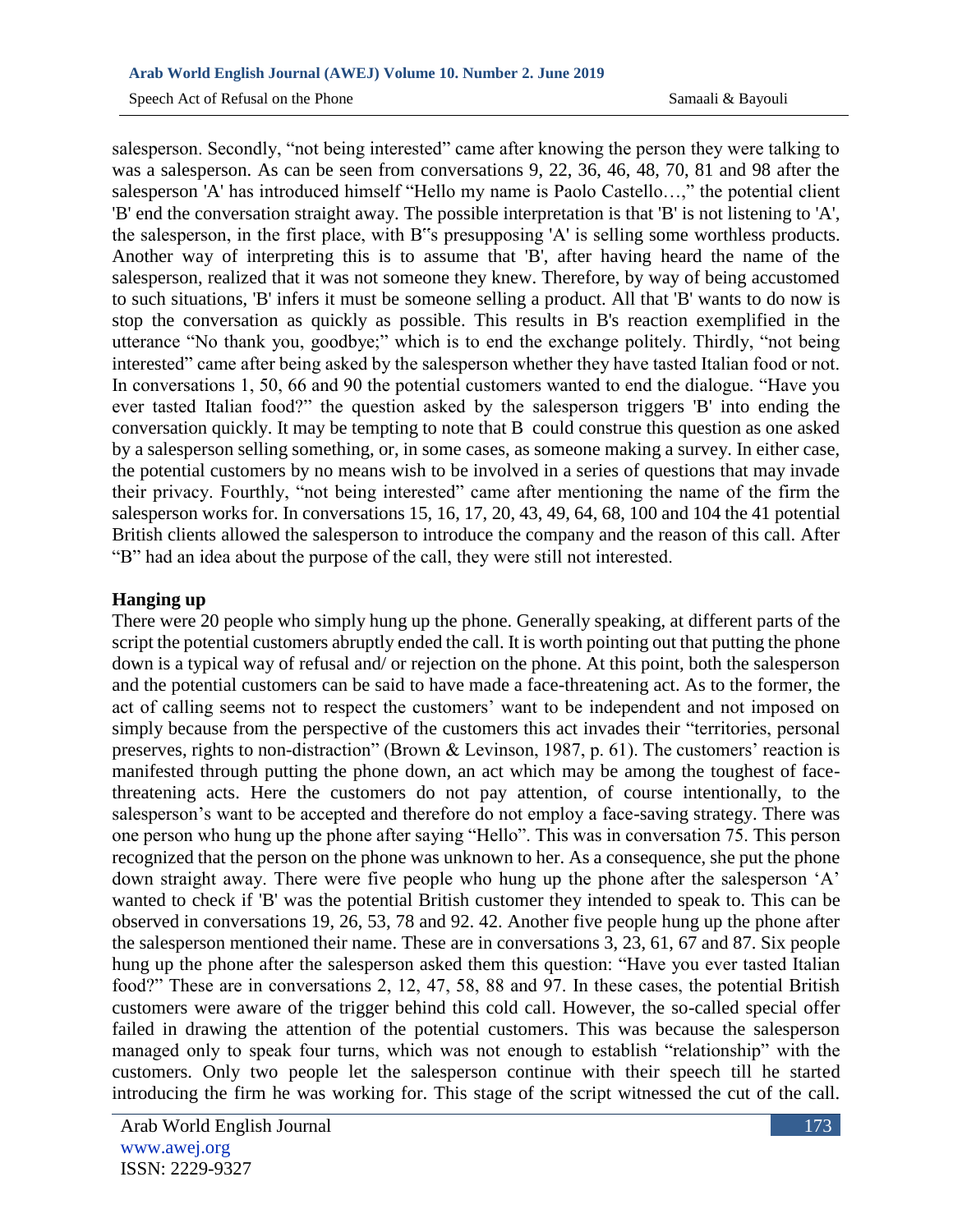salesperson. Secondly, "not being interested" came after knowing the person they were talking to was a salesperson. As can be seen from conversations 9, 22, 36, 46, 48, 70, 81 and 98 after the salesperson 'A' has introduced himself "Hello my name is Paolo Castello...," the potential client 'B' end the conversation straight away. The possible interpretation is that 'B' is not listening to 'A', the salesperson, in the first place, with B"s presupposing 'A' is selling some worthless products. Another way of interpreting this is to assume that 'B', after having heard the name of the salesperson, realized that it was not someone they knew. Therefore, by way of being accustomed to such situations, 'B' infers it must be someone selling a product. All that 'B' wants to do now is stop the conversation as quickly as possible. This results in B's reaction exemplified in the utterance "No thank you, goodbye;" which is to end the exchange politely. Thirdly, "not being interested" came after being asked by the salesperson whether they have tasted Italian food or not. In conversations 1, 50, 66 and 90 the potential customers wanted to end the dialogue. "Have you ever tasted Italian food?" the question asked by the salesperson triggers 'B' into ending the conversation quickly. It may be tempting to note that B could construe this question as one asked by a salesperson selling something, or, in some cases, as someone making a survey. In either case, the potential customers by no means wish to be involved in a series of questions that may invade their privacy. Fourthly, "not being interested" came after mentioning the name of the firm the salesperson works for. In conversations 15, 16, 17, 20, 43, 49, 64, 68, 100 and 104 the 41 potential British clients allowed the salesperson to introduce the company and the reason of this call. After "B" had an idea about the purpose of the call, they were still not interested.

## **Hanging up**

There were 20 people who simply hung up the phone. Generally speaking, at different parts of the script the potential customers abruptly ended the call. It is worth pointing out that putting the phone down is a typical way of refusal and/ or rejection on the phone. At this point, both the salesperson and the potential customers can be said to have made a face-threatening act. As to the former, the act of calling seems not to respect the customers' want to be independent and not imposed on simply because from the perspective of the customers this act invades their "territories, personal preserves, rights to non-distraction" (Brown & Levinson, 1987, p. 61). The customers' reaction is manifested through putting the phone down, an act which may be among the toughest of facethreatening acts. Here the customers do not pay attention, of course intentionally, to the salesperson's want to be accepted and therefore do not employ a face-saving strategy. There was one person who hung up the phone after saying "Hello". This was in conversation 75. This person recognized that the person on the phone was unknown to her. As a consequence, she put the phone down straight away. There were five people who hung up the phone after the salesperson 'A' wanted to check if 'B' was the potential British customer they intended to speak to. This can be observed in conversations 19, 26, 53, 78 and 92. 42. Another five people hung up the phone after the salesperson mentioned their name. These are in conversations 3, 23, 61, 67 and 87. Six people hung up the phone after the salesperson asked them this question: "Have you ever tasted Italian food?" These are in conversations 2, 12, 47, 58, 88 and 97. In these cases, the potential British customers were aware of the trigger behind this cold call. However, the so-called special offer failed in drawing the attention of the potential customers. This was because the salesperson managed only to speak four turns, which was not enough to establish "relationship" with the customers. Only two people let the salesperson continue with their speech till he started introducing the firm he was working for. This stage of the script witnessed the cut of the call.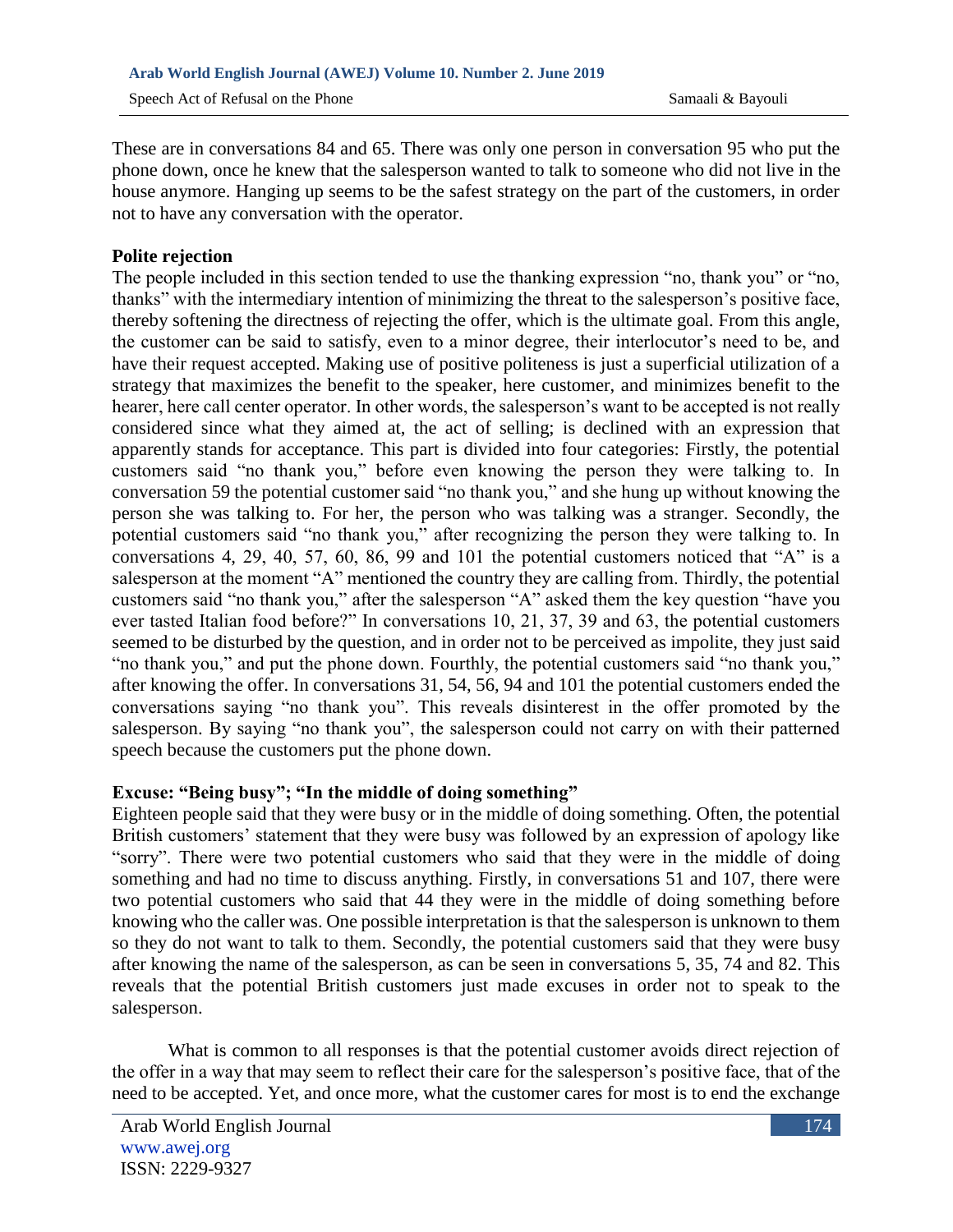These are in conversations 84 and 65. There was only one person in conversation 95 who put the phone down, once he knew that the salesperson wanted to talk to someone who did not live in the house anymore. Hanging up seems to be the safest strategy on the part of the customers, in order not to have any conversation with the operator.

### **Polite rejection**

The people included in this section tended to use the thanking expression "no, thank you" or "no, thanks" with the intermediary intention of minimizing the threat to the salesperson's positive face, thereby softening the directness of rejecting the offer, which is the ultimate goal. From this angle, the customer can be said to satisfy, even to a minor degree, their interlocutor's need to be, and have their request accepted. Making use of positive politeness is just a superficial utilization of a strategy that maximizes the benefit to the speaker, here customer, and minimizes benefit to the hearer, here call center operator. In other words, the salesperson's want to be accepted is not really considered since what they aimed at, the act of selling; is declined with an expression that apparently stands for acceptance. This part is divided into four categories: Firstly, the potential customers said "no thank you," before even knowing the person they were talking to. In conversation 59 the potential customer said "no thank you," and she hung up without knowing the person she was talking to. For her, the person who was talking was a stranger. Secondly, the potential customers said "no thank you," after recognizing the person they were talking to. In conversations 4, 29, 40, 57, 60, 86, 99 and 101 the potential customers noticed that "A" is a salesperson at the moment "A" mentioned the country they are calling from. Thirdly, the potential customers said "no thank you," after the salesperson "A" asked them the key question "have you ever tasted Italian food before?" In conversations 10, 21, 37, 39 and 63, the potential customers seemed to be disturbed by the question, and in order not to be perceived as impolite, they just said "no thank you," and put the phone down. Fourthly, the potential customers said "no thank you," after knowing the offer. In conversations 31, 54, 56, 94 and 101 the potential customers ended the conversations saying "no thank you". This reveals disinterest in the offer promoted by the salesperson. By saying "no thank you", the salesperson could not carry on with their patterned speech because the customers put the phone down.

### **Excuse: "Being busy"; "In the middle of doing something"**

Eighteen people said that they were busy or in the middle of doing something. Often, the potential British customers' statement that they were busy was followed by an expression of apology like "sorry". There were two potential customers who said that they were in the middle of doing something and had no time to discuss anything. Firstly, in conversations 51 and 107, there were two potential customers who said that 44 they were in the middle of doing something before knowing who the caller was. One possible interpretation is that the salesperson is unknown to them so they do not want to talk to them. Secondly, the potential customers said that they were busy after knowing the name of the salesperson, as can be seen in conversations 5, 35, 74 and 82. This reveals that the potential British customers just made excuses in order not to speak to the salesperson.

 What is common to all responses is that the potential customer avoids direct rejection of the offer in a way that may seem to reflect their care for the salesperson's positive face, that of the need to be accepted. Yet, and once more, what the customer cares for most is to end the exchange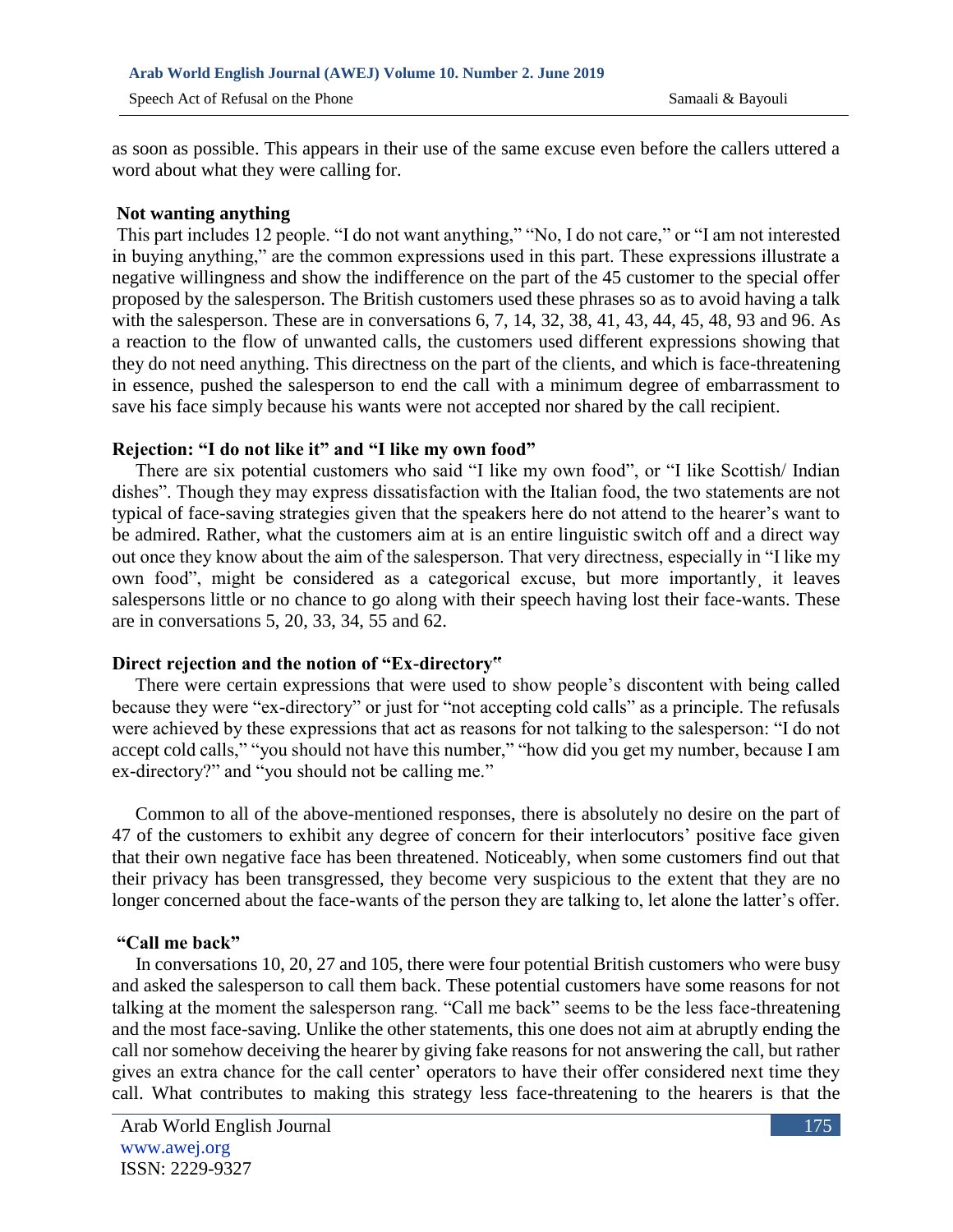as soon as possible. This appears in their use of the same excuse even before the callers uttered a word about what they were calling for.

#### **Not wanting anything**

This part includes 12 people. "I do not want anything," "No, I do not care," or "I am not interested in buying anything," are the common expressions used in this part. These expressions illustrate a negative willingness and show the indifference on the part of the 45 customer to the special offer proposed by the salesperson. The British customers used these phrases so as to avoid having a talk with the salesperson. These are in conversations 6, 7, 14, 32, 38, 41, 43, 44, 45, 48, 93 and 96. As a reaction to the flow of unwanted calls, the customers used different expressions showing that they do not need anything. This directness on the part of the clients, and which is face-threatening in essence, pushed the salesperson to end the call with a minimum degree of embarrassment to save his face simply because his wants were not accepted nor shared by the call recipient.

### **Rejection: "I do not like it" and "I like my own food"**

 There are six potential customers who said "I like my own food", or "I like Scottish/ Indian dishes". Though they may express dissatisfaction with the Italian food, the two statements are not typical of face-saving strategies given that the speakers here do not attend to the hearer's want to be admired. Rather, what the customers aim at is an entire linguistic switch off and a direct way out once they know about the aim of the salesperson. That very directness, especially in "I like my own food", might be considered as a categorical excuse, but more importantly¸ it leaves salespersons little or no chance to go along with their speech having lost their face-wants. These are in conversations 5, 20, 33, 34, 55 and 62.

### **Direct rejection and the notion of "Ex-directory"**

There were certain expressions that were used to show people's discontent with being called because they were "ex-directory" or just for "not accepting cold calls" as a principle. The refusals were achieved by these expressions that act as reasons for not talking to the salesperson: "I do not accept cold calls," "you should not have this number," "how did you get my number, because I am ex-directory?" and "you should not be calling me."

Common to all of the above-mentioned responses, there is absolutely no desire on the part of 47 of the customers to exhibit any degree of concern for their interlocutors' positive face given that their own negative face has been threatened. Noticeably, when some customers find out that their privacy has been transgressed, they become very suspicious to the extent that they are no longer concerned about the face-wants of the person they are talking to, let alone the latter's offer.

### **"Call me back"**

 In conversations 10, 20, 27 and 105, there were four potential British customers who were busy and asked the salesperson to call them back. These potential customers have some reasons for not talking at the moment the salesperson rang. "Call me back" seems to be the less face-threatening and the most face-saving. Unlike the other statements, this one does not aim at abruptly ending the call nor somehow deceiving the hearer by giving fake reasons for not answering the call, but rather gives an extra chance for the call center' operators to have their offer considered next time they call. What contributes to making this strategy less face-threatening to the hearers is that the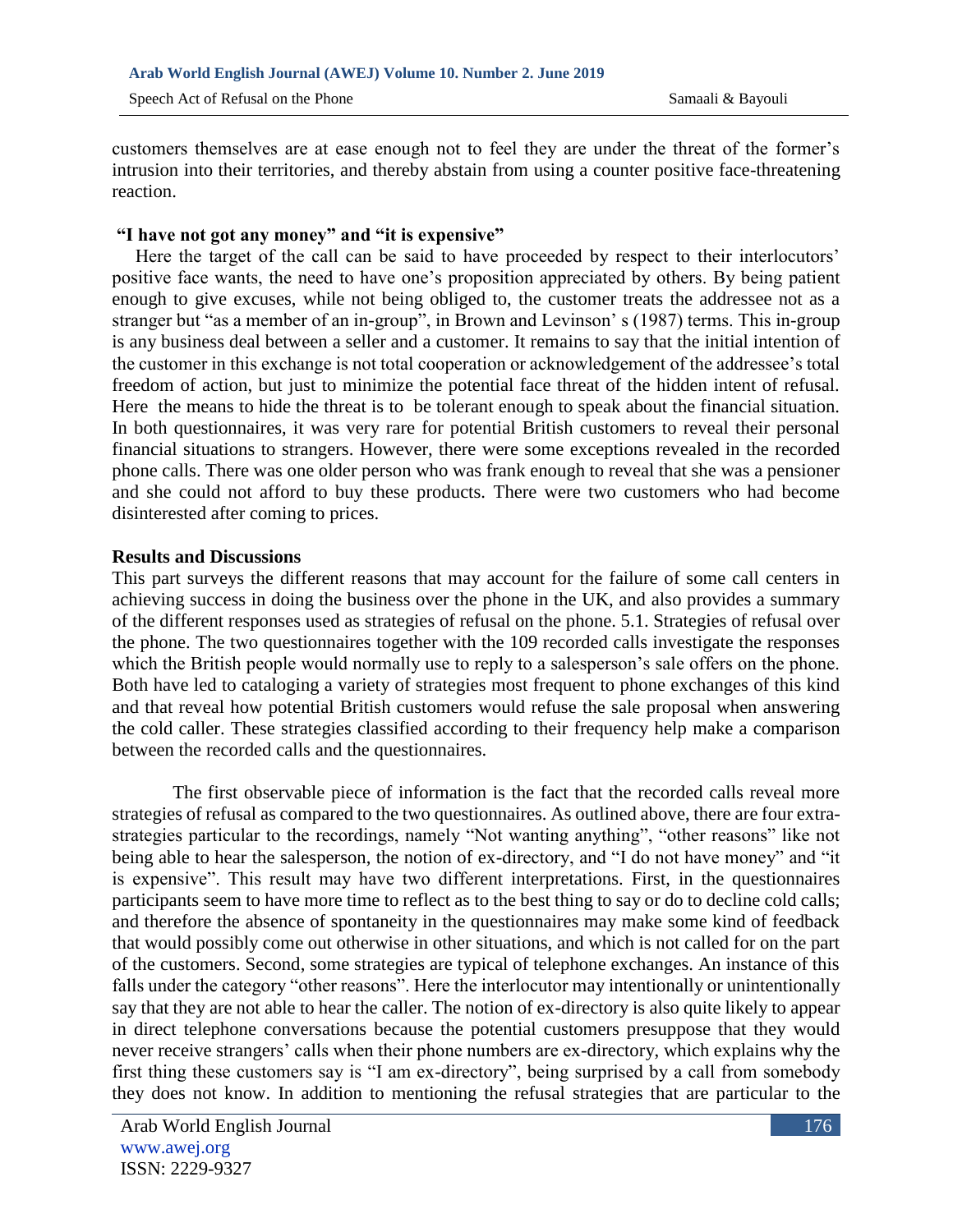customers themselves are at ease enough not to feel they are under the threat of the former's intrusion into their territories, and thereby abstain from using a counter positive face-threatening reaction.

#### **"I have not got any money" and "it is expensive"**

 Here the target of the call can be said to have proceeded by respect to their interlocutors' positive face wants, the need to have one's proposition appreciated by others. By being patient enough to give excuses, while not being obliged to, the customer treats the addressee not as a stranger but "as a member of an in-group", in Brown and Levinson' s (1987) terms. This in-group is any business deal between a seller and a customer. It remains to say that the initial intention of the customer in this exchange is not total cooperation or acknowledgement of the addressee's total freedom of action, but just to minimize the potential face threat of the hidden intent of refusal. Here the means to hide the threat is to be tolerant enough to speak about the financial situation. In both questionnaires, it was very rare for potential British customers to reveal their personal financial situations to strangers. However, there were some exceptions revealed in the recorded phone calls. There was one older person who was frank enough to reveal that she was a pensioner and she could not afford to buy these products. There were two customers who had become disinterested after coming to prices.

#### **Results and Discussions**

This part surveys the different reasons that may account for the failure of some call centers in achieving success in doing the business over the phone in the UK, and also provides a summary of the different responses used as strategies of refusal on the phone. 5.1. Strategies of refusal over the phone. The two questionnaires together with the 109 recorded calls investigate the responses which the British people would normally use to reply to a salesperson's sale offers on the phone. Both have led to cataloging a variety of strategies most frequent to phone exchanges of this kind and that reveal how potential British customers would refuse the sale proposal when answering the cold caller. These strategies classified according to their frequency help make a comparison between the recorded calls and the questionnaires.

 The first observable piece of information is the fact that the recorded calls reveal more strategies of refusal as compared to the two questionnaires. As outlined above, there are four extrastrategies particular to the recordings, namely "Not wanting anything", "other reasons" like not being able to hear the salesperson, the notion of ex-directory, and "I do not have money" and "it is expensive". This result may have two different interpretations. First, in the questionnaires participants seem to have more time to reflect as to the best thing to say or do to decline cold calls; and therefore the absence of spontaneity in the questionnaires may make some kind of feedback that would possibly come out otherwise in other situations, and which is not called for on the part of the customers. Second, some strategies are typical of telephone exchanges. An instance of this falls under the category "other reasons". Here the interlocutor may intentionally or unintentionally say that they are not able to hear the caller. The notion of ex-directory is also quite likely to appear in direct telephone conversations because the potential customers presuppose that they would never receive strangers' calls when their phone numbers are ex-directory, which explains why the first thing these customers say is "I am ex-directory", being surprised by a call from somebody they does not know. In addition to mentioning the refusal strategies that are particular to the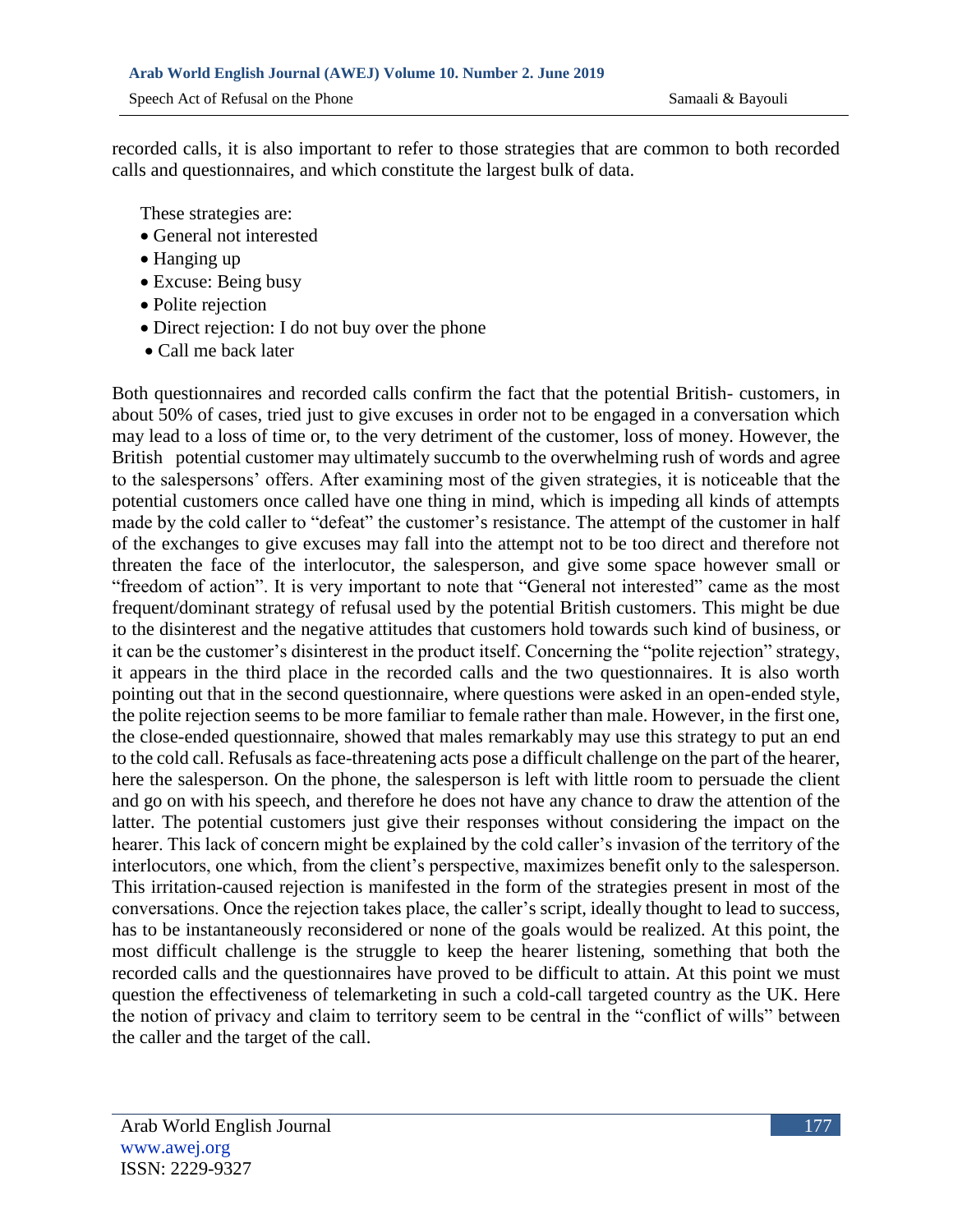recorded calls, it is also important to refer to those strategies that are common to both recorded calls and questionnaires, and which constitute the largest bulk of data.

These strategies are:

- General not interested
- Hanging up
- Excuse: Being busy
- Polite rejection
- Direct rejection: I do not buy over the phone
- Call me back later

Both questionnaires and recorded calls confirm the fact that the potential British- customers, in about 50% of cases, tried just to give excuses in order not to be engaged in a conversation which may lead to a loss of time or, to the very detriment of the customer, loss of money. However, the British potential customer may ultimately succumb to the overwhelming rush of words and agree to the salespersons' offers. After examining most of the given strategies, it is noticeable that the potential customers once called have one thing in mind, which is impeding all kinds of attempts made by the cold caller to "defeat" the customer's resistance. The attempt of the customer in half of the exchanges to give excuses may fall into the attempt not to be too direct and therefore not threaten the face of the interlocutor, the salesperson, and give some space however small or "freedom of action". It is very important to note that "General not interested" came as the most frequent/dominant strategy of refusal used by the potential British customers. This might be due to the disinterest and the negative attitudes that customers hold towards such kind of business, or it can be the customer's disinterest in the product itself. Concerning the "polite rejection" strategy, it appears in the third place in the recorded calls and the two questionnaires. It is also worth pointing out that in the second questionnaire, where questions were asked in an open-ended style, the polite rejection seems to be more familiar to female rather than male. However, in the first one, the close-ended questionnaire, showed that males remarkably may use this strategy to put an end to the cold call. Refusals as face-threatening acts pose a difficult challenge on the part of the hearer, here the salesperson. On the phone, the salesperson is left with little room to persuade the client and go on with his speech, and therefore he does not have any chance to draw the attention of the latter. The potential customers just give their responses without considering the impact on the hearer. This lack of concern might be explained by the cold caller's invasion of the territory of the interlocutors, one which, from the client's perspective, maximizes benefit only to the salesperson. This irritation-caused rejection is manifested in the form of the strategies present in most of the conversations. Once the rejection takes place, the caller's script, ideally thought to lead to success, has to be instantaneously reconsidered or none of the goals would be realized. At this point, the most difficult challenge is the struggle to keep the hearer listening, something that both the recorded calls and the questionnaires have proved to be difficult to attain. At this point we must question the effectiveness of telemarketing in such a cold-call targeted country as the UK. Here the notion of privacy and claim to territory seem to be central in the "conflict of wills" between the caller and the target of the call.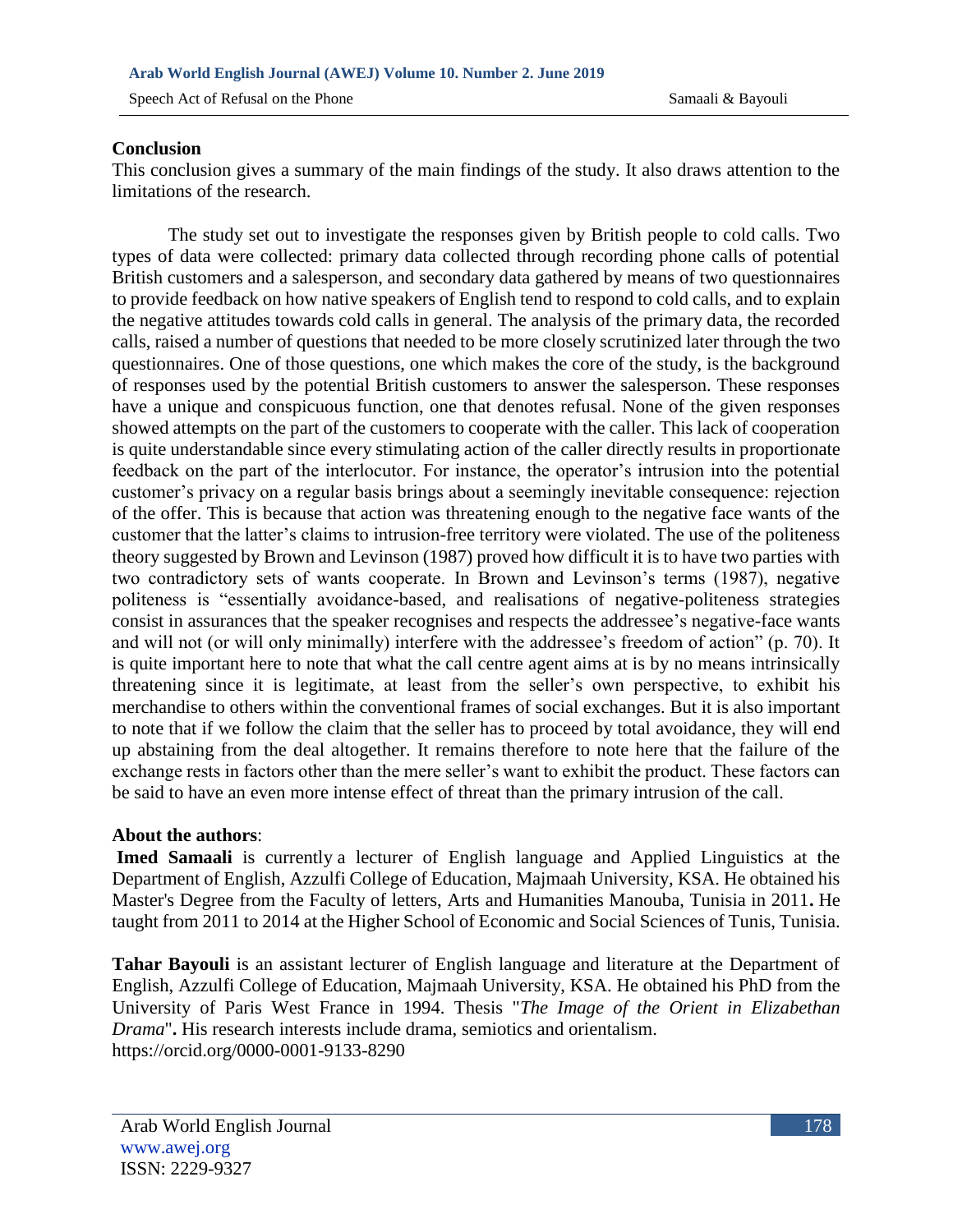#### **Conclusion**

This conclusion gives a summary of the main findings of the study. It also draws attention to the limitations of the research.

 The study set out to investigate the responses given by British people to cold calls. Two types of data were collected: primary data collected through recording phone calls of potential British customers and a salesperson, and secondary data gathered by means of two questionnaires to provide feedback on how native speakers of English tend to respond to cold calls, and to explain the negative attitudes towards cold calls in general. The analysis of the primary data, the recorded calls, raised a number of questions that needed to be more closely scrutinized later through the two questionnaires. One of those questions, one which makes the core of the study, is the background of responses used by the potential British customers to answer the salesperson. These responses have a unique and conspicuous function, one that denotes refusal. None of the given responses showed attempts on the part of the customers to cooperate with the caller. This lack of cooperation is quite understandable since every stimulating action of the caller directly results in proportionate feedback on the part of the interlocutor. For instance, the operator's intrusion into the potential customer's privacy on a regular basis brings about a seemingly inevitable consequence: rejection of the offer. This is because that action was threatening enough to the negative face wants of the customer that the latter's claims to intrusion-free territory were violated. The use of the politeness theory suggested by Brown and Levinson (1987) proved how difficult it is to have two parties with two contradictory sets of wants cooperate. In Brown and Levinson's terms (1987), negative politeness is "essentially avoidance-based, and realisations of negative-politeness strategies consist in assurances that the speaker recognises and respects the addressee's negative-face wants and will not (or will only minimally) interfere with the addressee's freedom of action" (p. 70). It is quite important here to note that what the call centre agent aims at is by no means intrinsically threatening since it is legitimate, at least from the seller's own perspective, to exhibit his merchandise to others within the conventional frames of social exchanges. But it is also important to note that if we follow the claim that the seller has to proceed by total avoidance, they will end up abstaining from the deal altogether. It remains therefore to note here that the failure of the exchange rests in factors other than the mere seller's want to exhibit the product. These factors can be said to have an even more intense effect of threat than the primary intrusion of the call.

#### **About the authors**:

**Imed Samaali** is currently a lecturer of English language and Applied Linguistics at the Department of English, Azzulfi College of Education, Majmaah University, KSA. He obtained his Master's Degree from the Faculty of letters, Arts and Humanities Manouba, Tunisia in 2011**.** He taught from 2011 to 2014 at the Higher School of Economic and Social Sciences of Tunis, Tunisia.

**Tahar Bayouli** is an assistant lecturer of English language and literature at the Department of English, Azzulfi College of Education, Majmaah University, KSA. He obtained his PhD from the University of Paris West France in 1994. Thesis "*The Image of the Orient in Elizabethan Drama*"**.** His research interests include drama, semiotics and orientalism. <https://orcid.org/0000-0001-9133-8290>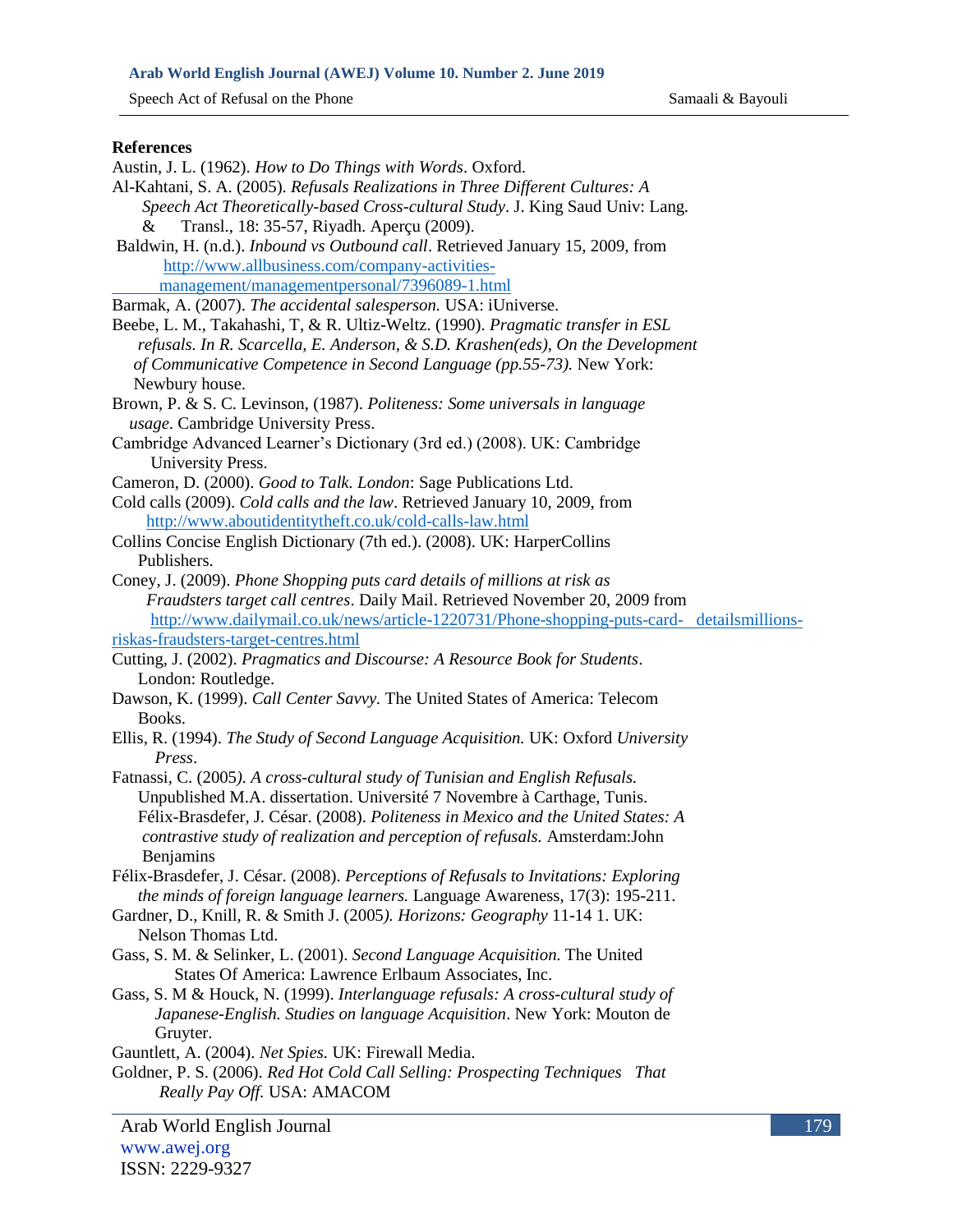### **Arab World English Journal (AWEJ) Volume 10. Number 2. June 2019**

Speech Act of Refusal on the Phone Samaali & Bayouli

#### **References**

| Austin, J. L. (1962). How to Do Things with Words. Oxford.                                                   |
|--------------------------------------------------------------------------------------------------------------|
| Al-Kahtani, S. A. (2005). Refusals Realizations in Three Different Cultures: A                               |
| Speech Act Theoretically-based Cross-cultural Study. J. King Saud Univ: Lang.                                |
| Transl., 18: 35-57, Riyadh. Aperçu (2009).<br>&                                                              |
| Baldwin, H. (n.d.). Inbound vs Outbound call. Retrieved January 15, 2009, from                               |
| http://www.allbusiness.com/company-activities-                                                               |
| management/managementpersonal/7396089-1.html                                                                 |
| Barmak, A. (2007). The accidental salesperson. USA: iUniverse.                                               |
| Beebe, L. M., Takahashi, T, & R. Ultiz-Weltz. (1990). Pragmatic transfer in ESL                              |
| refusals. In R. Scarcella, E. Anderson, & S.D. Krashen(eds), On the Development                              |
| of Communicative Competence in Second Language (pp.55-73). New York:                                         |
| Newbury house.                                                                                               |
| Brown, P. & S. C. Levinson, (1987). Politeness: Some universals in language                                  |
| usage. Cambridge University Press.                                                                           |
| Cambridge Advanced Learner's Dictionary (3rd ed.) (2008). UK: Cambridge                                      |
| University Press.                                                                                            |
| Cameron, D. (2000). Good to Talk. London: Sage Publications Ltd.                                             |
| Cold calls (2009). Cold calls and the law. Retrieved January 10, 2009, from                                  |
| http://www.aboutidentitytheft.co.uk/cold-calls-law.html                                                      |
| Collins Concise English Dictionary (7th ed.). (2008). UK: HarperCollins                                      |
| Publishers.                                                                                                  |
|                                                                                                              |
| Coney, J. (2009). Phone Shopping puts card details of millions at risk as                                    |
| Fraudsters target call centres. Daily Mail. Retrieved November 20, 2009 from                                 |
| http://www.dailymail.co.uk/news/article-1220731/Phone-shopping-puts-card- detailsmillions-                   |
| riskas-fraudsters-target-centres.html                                                                        |
| Cutting, J. (2002). Pragmatics and Discourse: A Resource Book for Students.                                  |
|                                                                                                              |
| London: Routledge.                                                                                           |
| Dawson, K. (1999). Call Center Savvy. The United States of America: Telecom                                  |
| Books.                                                                                                       |
| Ellis, R. (1994). The Study of Second Language Acquisition. UK: Oxford University<br>Press.                  |
|                                                                                                              |
| Fatnassi, C. (2005). A cross-cultural study of Tunisian and English Refusals.                                |
| Unpublished M.A. dissertation. Université 7 Novembre à Carthage, Tunis.                                      |
| Félix-Brasdefer, J. César. (2008). Politeness in Mexico and the United States: A                             |
| contrastive study of realization and perception of refusals. Amsterdam:John                                  |
| Benjamins                                                                                                    |
| Félix-Brasdefer, J. César. (2008). Perceptions of Refusals to Invitations: Exploring                         |
| the minds of foreign language learners. Language Awareness, 17(3): 195-211.                                  |
| Gardner, D., Knill, R. & Smith J. (2005). Horizons: Geography 11-14 1. UK:<br>Nelson Thomas Ltd.             |
|                                                                                                              |
| Gass, S. M. & Selinker, L. (2001). Second Language Acquisition. The United                                   |
| States Of America: Lawrence Erlbaum Associates, Inc.                                                         |
| Gass, S. M & Houck, N. (1999). Interlanguage refusals: A cross-cultural study of                             |
| Japanese-English. Studies on language Acquisition. New York: Mouton de                                       |
| Gruyter.                                                                                                     |
| Gauntlett, A. (2004). Net Spies. UK: Firewall Media.                                                         |
| Goldner, P. S. (2006). Red Hot Cold Call Selling: Prospecting Techniques That<br>Really Pay Off. USA: AMACOM |